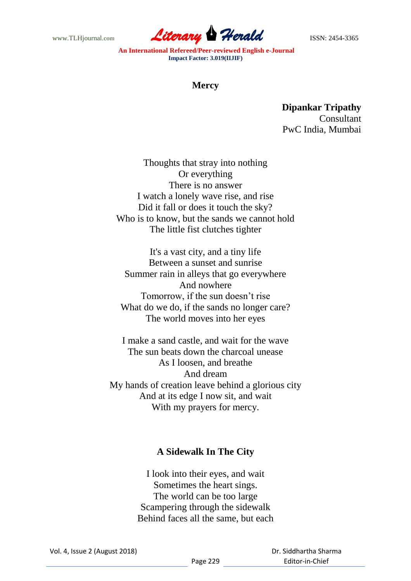www.TLHjournal.com **Literary Herald Herald ISSN: 2454-3365** 

**An International Refereed/Peer-reviewed English e-Journal Impact Factor: 3.019(IIJIF)**

## **Mercy**

**Dipankar Tripathy Consultant** PwC India, Mumbai

Thoughts that stray into nothing Or everything There is no answer I watch a lonely wave rise, and rise Did it fall or does it touch the sky? Who is to know, but the sands we cannot hold The little fist clutches tighter

It's a vast city, and a tiny life Between a sunset and sunrise Summer rain in alleys that go everywhere And nowhere Tomorrow, if the sun doesn't rise What do we do, if the sands no longer care? The world moves into her eyes

I make a sand castle, and wait for the wave The sun beats down the charcoal unease As I loosen, and breathe And dream My hands of creation leave behind a glorious city And at its edge I now sit, and wait With my prayers for mercy.

## **A Sidewalk In The City**

I look into their eyes, and wait Sometimes the heart sings. The world can be too large Scampering through the sidewalk Behind faces all the same, but each